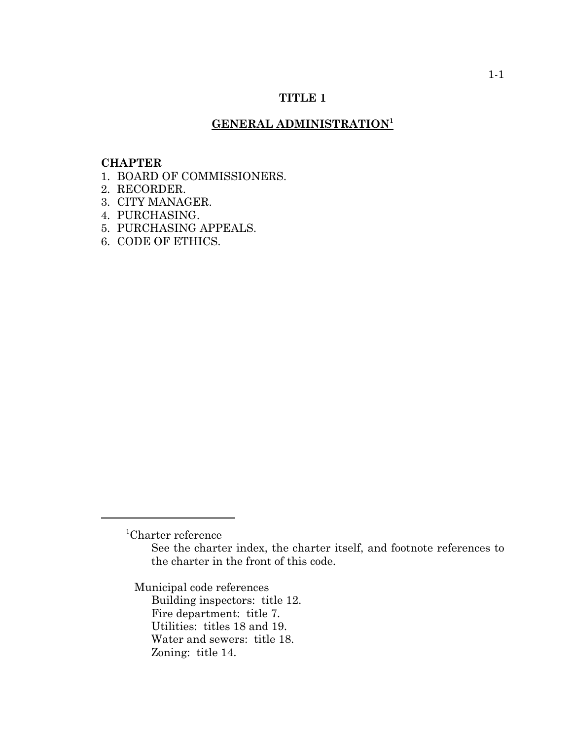# **TITLE 1**

# **GENERAL ADMINISTRATION<sup>1</sup>**

#### **CHAPTER**

- 1. BOARD OF COMMISSIONERS.
- 2. RECORDER.
- 3. CITY MANAGER.
- 4. PURCHASING.
- 5. PURCHASING APPEALS.
- 6. CODE OF ETHICS.

Municipal code references

Building inspectors: title 12. Fire department: title 7. Utilities: titles 18 and 19. Water and sewers: title 18. Zoning: title 14.

<sup>1</sup> Charter reference

See the charter index, the charter itself, and footnote references to the charter in the front of this code.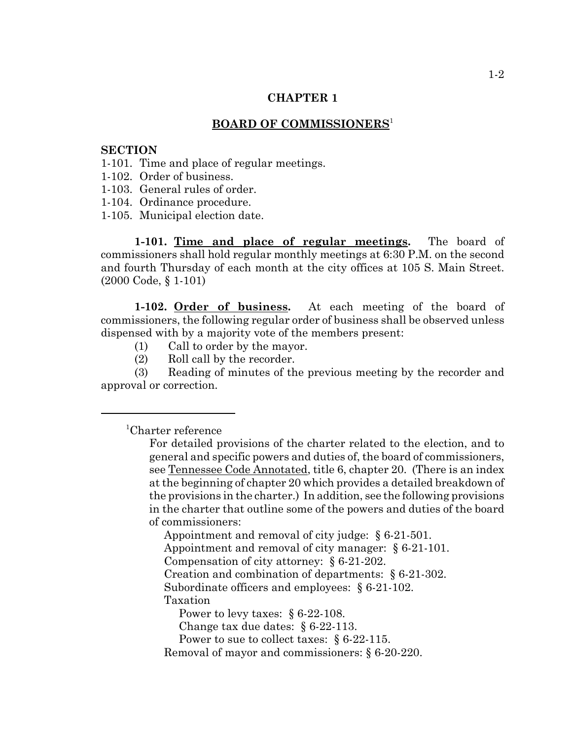#### **BOARD OF COMMISSIONERS**<sup>1</sup>

#### **SECTION**

- 1-101. Time and place of regular meetings.
- 1-102. Order of business.
- 1-103. General rules of order.
- 1-104. Ordinance procedure.
- 1-105. Municipal election date.

**1-101. Time and place of regular meetings.** The board of commissioners shall hold regular monthly meetings at 6:30 P.M. on the second and fourth Thursday of each month at the city offices at 105 S. Main Street. (2000 Code, § 1-101)

**1-102. Order of business.** At each meeting of the board of commissioners, the following regular order of business shall be observed unless dispensed with by a majority vote of the members present:

- (1) Call to order by the mayor.
- (2) Roll call by the recorder.

(3) Reading of minutes of the previous meeting by the recorder and approval or correction.

# <sup>1</sup> Charter reference

Appointment and removal of city judge: § 6-21-501.

Appointment and removal of city manager: § 6-21-101.

Compensation of city attorney: § 6-21-202.

Creation and combination of departments: § 6-21-302.

Subordinate officers and employees: § 6-21-102.

Taxation

Power to levy taxes: § 6-22-108.

Change tax due dates: § 6-22-113.

Power to sue to collect taxes: § 6-22-115.

Removal of mayor and commissioners: § 6-20-220.

For detailed provisions of the charter related to the election, and to general and specific powers and duties of, the board of commissioners, see Tennessee Code Annotated, title 6, chapter 20. (There is an index at the beginning of chapter 20 which provides a detailed breakdown of the provisions in the charter.) In addition, see the following provisions in the charter that outline some of the powers and duties of the board of commissioners: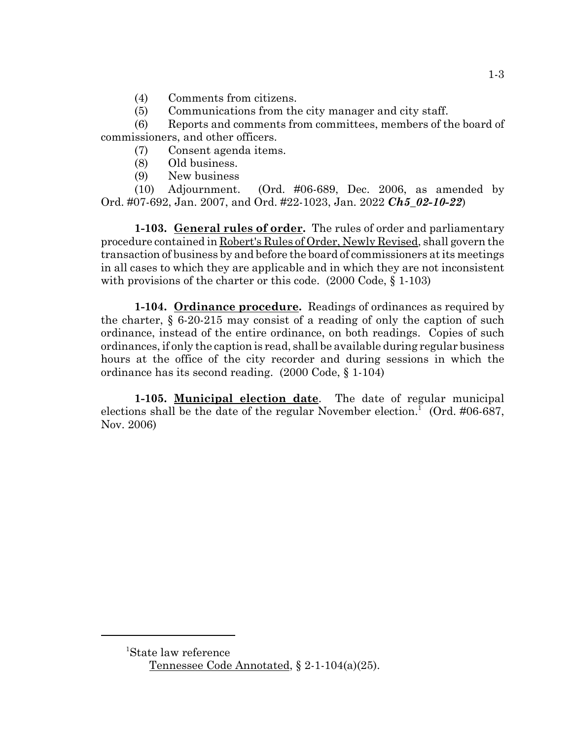- (4) Comments from citizens.
- (5) Communications from the city manager and city staff.

(6) Reports and comments from committees, members of the board of commissioners, and other officers.

- (7) Consent agenda items.
- (8) Old business.
- (9) New business

(10) Adjournment. (Ord. #06-689, Dec. 2006, as amended by Ord. #07-692, Jan. 2007, and Ord. #22-1023, Jan. 2022 *Ch5\_02-10-22*)

**1-103. General rules of order.** The rules of order and parliamentary procedure contained in Robert's Rules of Order, Newly Revised, shall govern the transaction of business by and before the board of commissioners at its meetings in all cases to which they are applicable and in which they are not inconsistent with provisions of the charter or this code. (2000 Code,  $\S$  1-103)

**1-104. Ordinance procedure.** Readings of ordinances as required by the charter, § 6-20-215 may consist of a reading of only the caption of such ordinance, instead of the entire ordinance, on both readings. Copies of such ordinances, if only the caption is read, shall be available during regular business hours at the office of the city recorder and during sessions in which the ordinance has its second reading. (2000 Code, § 1-104)

**1-105. Municipal election date**. The date of regular municipal elections shall be the date of the regular November election.<sup>1</sup> (Ord. #06-687, Nov. 2006)

<sup>1</sup> State law reference Tennessee Code Annotated, § 2-1-104(a)(25).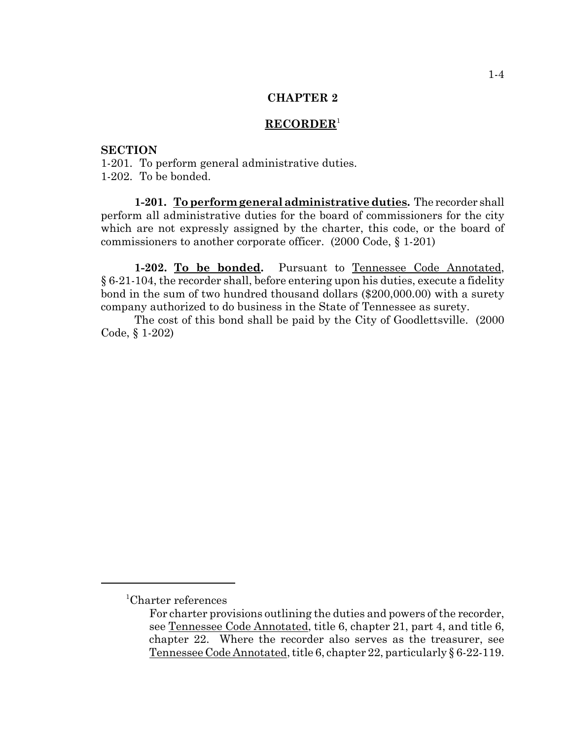# **RECORDER**<sup>1</sup>

# **SECTION**

1-201. To perform general administrative duties. 1-202. To be bonded.

**1-201. To perform general administrative duties.** The recorder shall perform all administrative duties for the board of commissioners for the city which are not expressly assigned by the charter, this code, or the board of commissioners to another corporate officer. (2000 Code, § 1-201)

**1-202. To be bonded.** Pursuant to Tennessee Code Annotated, § 6-21-104, the recorder shall, before entering upon his duties, execute a fidelity bond in the sum of two hundred thousand dollars (\$200,000.00) with a surety company authorized to do business in the State of Tennessee as surety.

The cost of this bond shall be paid by the City of Goodlettsville. (2000 Code, § 1-202)

<sup>1</sup> Charter references

For charter provisions outlining the duties and powers of the recorder, see Tennessee Code Annotated, title 6, chapter 21, part 4, and title 6, chapter 22. Where the recorder also serves as the treasurer, see Tennessee Code Annotated, title 6, chapter 22, particularly § 6-22-119.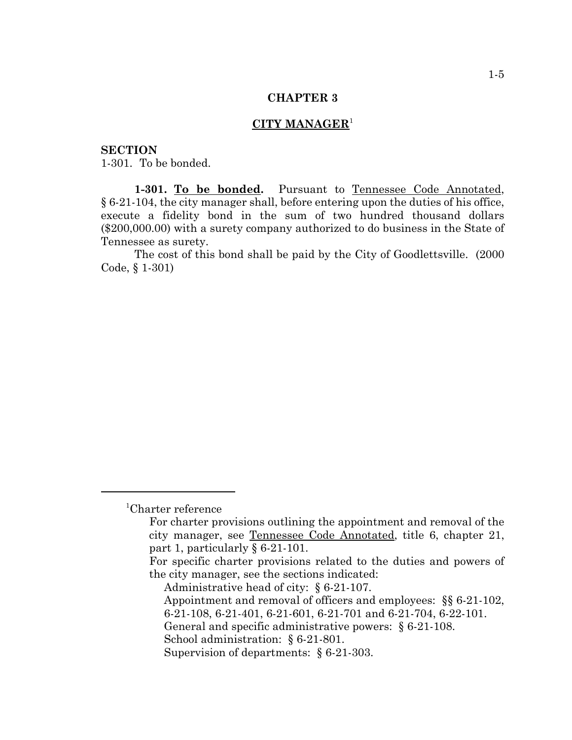### **CITY MANAGER**<sup>1</sup>

### **SECTION**

1-301. To be bonded.

**1-301. To be bonded.** Pursuant to Tennessee Code Annotated, § 6-21-104, the city manager shall, before entering upon the duties of his office, execute a fidelity bond in the sum of two hundred thousand dollars (\$200,000.00) with a surety company authorized to do business in the State of Tennessee as surety.

The cost of this bond shall be paid by the City of Goodlettsville. (2000 Code, § 1-301)

School administration: § 6-21-801.

<sup>1</sup> Charter reference

For charter provisions outlining the appointment and removal of the city manager, see Tennessee Code Annotated, title 6, chapter 21, part 1, particularly § 6-21-101.

For specific charter provisions related to the duties and powers of the city manager, see the sections indicated:

Administrative head of city: § 6-21-107.

Appointment and removal of officers and employees: §§ 6-21-102, 6-21-108, 6-21-401, 6-21-601, 6-21-701 and 6-21-704, 6-22-101.

General and specific administrative powers: § 6-21-108.

Supervision of departments: § 6-21-303.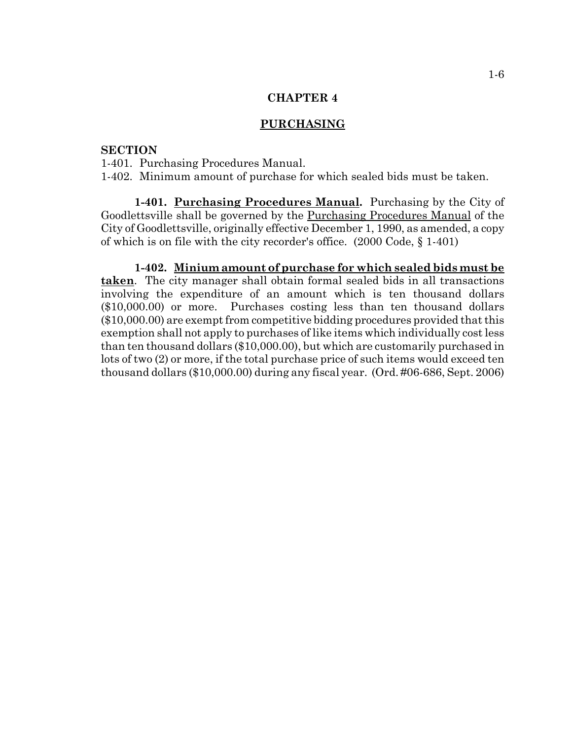### **PURCHASING**

# **SECTION**

1-401. Purchasing Procedures Manual.

1-402. Minimum amount of purchase for which sealed bids must be taken.

**1-401. Purchasing Procedures Manual.** Purchasing by the City of Goodlettsville shall be governed by the Purchasing Procedures Manual of the City of Goodlettsville, originally effective December 1, 1990, as amended, a copy of which is on file with the city recorder's office. (2000 Code, § 1-401)

**1-402. Minium amount of purchase for which sealed bids must be taken**. The city manager shall obtain formal sealed bids in all transactions involving the expenditure of an amount which is ten thousand dollars (\$10,000.00) or more. Purchases costing less than ten thousand dollars (\$10,000.00) are exempt from competitive bidding procedures provided that this exemption shall not apply to purchases of like items which individually cost less than ten thousand dollars (\$10,000.00), but which are customarily purchased in lots of two (2) or more, if the total purchase price of such items would exceed ten thousand dollars (\$10,000.00) during any fiscal year. (Ord. #06-686, Sept. 2006)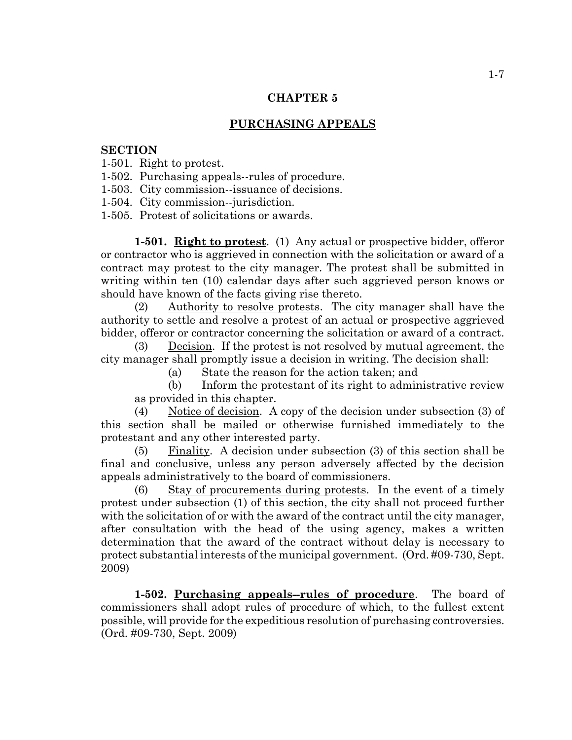### **PURCHASING APPEALS**

#### **SECTION**

1-501. Right to protest.

1-502. Purchasing appeals--rules of procedure.

1-503. City commission--issuance of decisions.

1-504. City commission--jurisdiction.

1-505. Protest of solicitations or awards.

**1-501. Right to protest**. (1) Any actual or prospective bidder, offeror or contractor who is aggrieved in connection with the solicitation or award of a contract may protest to the city manager. The protest shall be submitted in writing within ten (10) calendar days after such aggrieved person knows or should have known of the facts giving rise thereto.

(2) Authority to resolve protests. The city manager shall have the authority to settle and resolve a protest of an actual or prospective aggrieved bidder, offeror or contractor concerning the solicitation or award of a contract.

(3) Decision. If the protest is not resolved by mutual agreement, the city manager shall promptly issue a decision in writing. The decision shall:

(a) State the reason for the action taken; and

(b) Inform the protestant of its right to administrative review as provided in this chapter.

(4) Notice of decision. A copy of the decision under subsection (3) of this section shall be mailed or otherwise furnished immediately to the protestant and any other interested party.

(5) Finality. A decision under subsection (3) of this section shall be final and conclusive, unless any person adversely affected by the decision appeals administratively to the board of commissioners.

(6) Stay of procurements during protests. In the event of a timely protest under subsection (1) of this section, the city shall not proceed further with the solicitation of or with the award of the contract until the city manager, after consultation with the head of the using agency, makes a written determination that the award of the contract without delay is necessary to protect substantial interests of the municipal government. (Ord. #09-730, Sept. 2009)

**1-502. Purchasing appeals--rules of procedure**. The board of commissioners shall adopt rules of procedure of which, to the fullest extent possible, will provide for the expeditious resolution of purchasing controversies. (Ord. #09-730, Sept. 2009)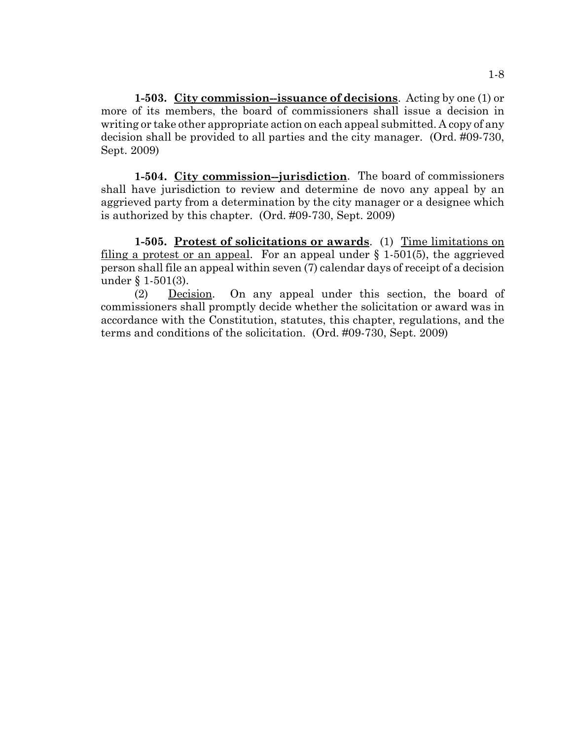**1-503. City commission--issuance of decisions**. Acting by one (1) or more of its members, the board of commissioners shall issue a decision in writing or take other appropriate action on each appeal submitted. A copy of any decision shall be provided to all parties and the city manager. (Ord. #09-730, Sept. 2009)

**1-504. City commission--jurisdiction**. The board of commissioners shall have jurisdiction to review and determine de novo any appeal by an aggrieved party from a determination by the city manager or a designee which is authorized by this chapter. (Ord. #09-730, Sept. 2009)

**1-505. Protest of solicitations or awards**. (1) Time limitations on filing a protest or an appeal. For an appeal under  $\S$  1-501(5), the aggrieved person shall file an appeal within seven (7) calendar days of receipt of a decision under § 1-501(3).

(2) Decision. On any appeal under this section, the board of commissioners shall promptly decide whether the solicitation or award was in accordance with the Constitution, statutes, this chapter, regulations, and the terms and conditions of the solicitation. (Ord. #09-730, Sept. 2009)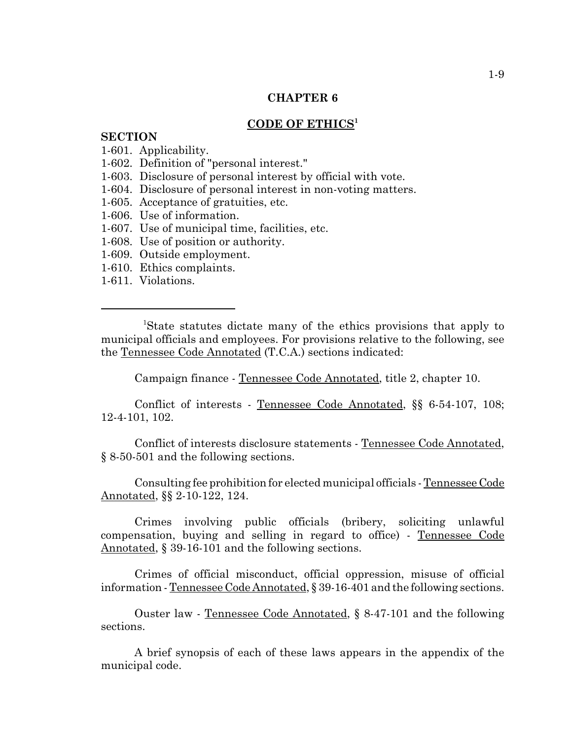# **CODE OF ETHICS<sup>1</sup>**

#### **SECTION**

1-601. Applicability.

- 1-602. Definition of "personal interest."
- 1-603. Disclosure of personal interest by official with vote.
- 1-604. Disclosure of personal interest in non-voting matters.
- 1-605. Acceptance of gratuities, etc.
- 1-606. Use of information.
- 1-607. Use of municipal time, facilities, etc.
- 1-608. Use of position or authority.
- 1-609. Outside employment.
- 1-610. Ethics complaints.
- 1-611. Violations.

 <sup>1</sup> State statutes dictate many of the ethics provisions that apply to municipal officials and employees. For provisions relative to the following, see the Tennessee Code Annotated (T.C.A.) sections indicated:

Campaign finance - Tennessee Code Annotated, title 2, chapter 10.

Conflict of interests - Tennessee Code Annotated, §§ 6-54-107, 108; 12-4-101, 102.

Conflict of interests disclosure statements - Tennessee Code Annotated, § 8-50-501 and the following sections.

Consulting fee prohibition for elected municipal officials - Tennessee Code Annotated, §§ 2-10-122, 124.

Crimes involving public officials (bribery, soliciting unlawful compensation, buying and selling in regard to office) - Tennessee Code Annotated, § 39-16-101 and the following sections.

Crimes of official misconduct, official oppression, misuse of official information - Tennessee Code Annotated, § 39-16-401 and the following sections.

Ouster law - Tennessee Code Annotated, § 8-47-101 and the following sections.

A brief synopsis of each of these laws appears in the appendix of the municipal code.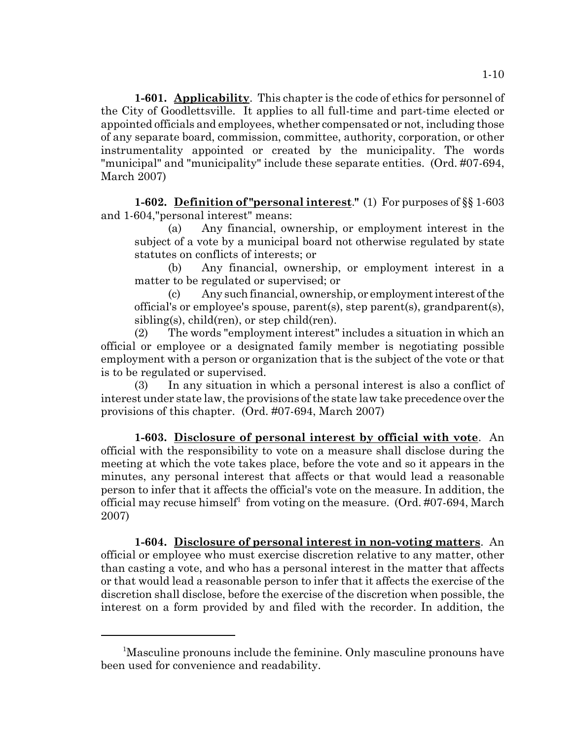**1-601. Applicability**. This chapter is the code of ethics for personnel of the City of Goodlettsville. It applies to all full-time and part-time elected or appointed officials and employees, whether compensated or not, including those of any separate board, commission, committee, authority, corporation, or other instrumentality appointed or created by the municipality. The words "municipal" and "municipality" include these separate entities. (Ord. #07-694, March 2007)

**1-602. Definition of "personal interest**.**"** (1) For purposes of §§ 1-603 and 1-604,"personal interest" means:

(a) Any financial, ownership, or employment interest in the subject of a vote by a municipal board not otherwise regulated by state statutes on conflicts of interests; or

(b) Any financial, ownership, or employment interest in a matter to be regulated or supervised; or

(c) Any such financial, ownership, or employment interest of the official's or employee's spouse, parent(s), step parent(s), grandparent(s), sibling(s), child(ren), or step child(ren).

(2) The words "employment interest" includes a situation in which an official or employee or a designated family member is negotiating possible employment with a person or organization that is the subject of the vote or that is to be regulated or supervised.

(3) In any situation in which a personal interest is also a conflict of interest under state law, the provisions of the state law take precedence over the provisions of this chapter. (Ord. #07-694, March 2007)

**1-603. Disclosure of personal interest by official with vote**. An official with the responsibility to vote on a measure shall disclose during the meeting at which the vote takes place, before the vote and so it appears in the minutes, any personal interest that affects or that would lead a reasonable person to infer that it affects the official's vote on the measure. In addition, the official may recuse himself<sup>1</sup> from voting on the measure. (Ord. #07-694, March 2007)

**1-604. Disclosure of personal interest in non-voting matters**. An official or employee who must exercise discretion relative to any matter, other than casting a vote, and who has a personal interest in the matter that affects or that would lead a reasonable person to infer that it affects the exercise of the discretion shall disclose, before the exercise of the discretion when possible, the interest on a form provided by and filed with the recorder. In addition, the

<sup>&</sup>lt;sup>1</sup>Masculine pronouns include the feminine. Only masculine pronouns have been used for convenience and readability.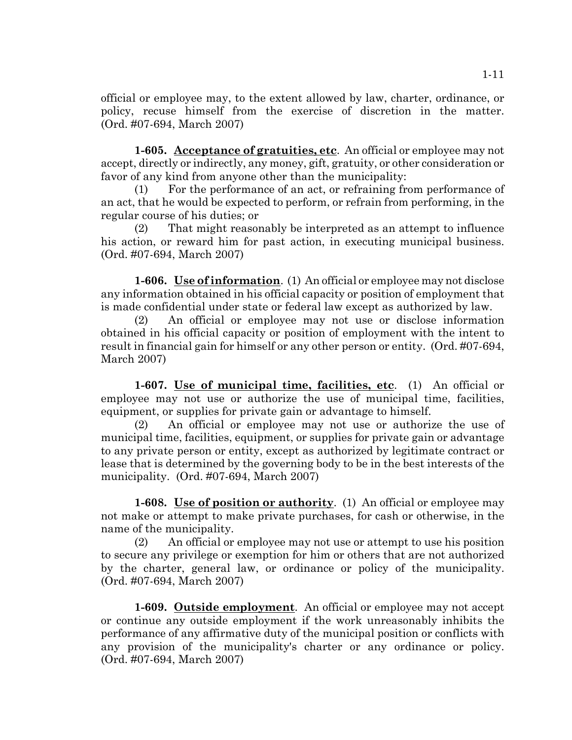official or employee may, to the extent allowed by law, charter, ordinance, or policy, recuse himself from the exercise of discretion in the matter. (Ord. #07-694, March 2007)

**1-605. Acceptance of gratuities, etc**. An official or employee may not accept, directly or indirectly, any money, gift, gratuity, or other consideration or favor of any kind from anyone other than the municipality:

For the performance of an act, or refraining from performance of an act, that he would be expected to perform, or refrain from performing, in the regular course of his duties; or

(2) That might reasonably be interpreted as an attempt to influence his action, or reward him for past action, in executing municipal business. (Ord. #07-694, March 2007)

**1-606. Use of information**. (1) An official or employee may not disclose any information obtained in his official capacity or position of employment that is made confidential under state or federal law except as authorized by law.

(2) An official or employee may not use or disclose information obtained in his official capacity or position of employment with the intent to result in financial gain for himself or any other person or entity. (Ord. #07-694, March 2007)

**1-607. Use of municipal time, facilities, etc**. (1) An official or employee may not use or authorize the use of municipal time, facilities, equipment, or supplies for private gain or advantage to himself.

(2) An official or employee may not use or authorize the use of municipal time, facilities, equipment, or supplies for private gain or advantage to any private person or entity, except as authorized by legitimate contract or lease that is determined by the governing body to be in the best interests of the municipality. (Ord. #07-694, March 2007)

**1-608. Use of position or authority**. (1) An official or employee may not make or attempt to make private purchases, for cash or otherwise, in the name of the municipality.

(2) An official or employee may not use or attempt to use his position to secure any privilege or exemption for him or others that are not authorized by the charter, general law, or ordinance or policy of the municipality. (Ord. #07-694, March 2007)

**1-609. Outside employment**. An official or employee may not accept or continue any outside employment if the work unreasonably inhibits the performance of any affirmative duty of the municipal position or conflicts with any provision of the municipality's charter or any ordinance or policy. (Ord. #07-694, March 2007)